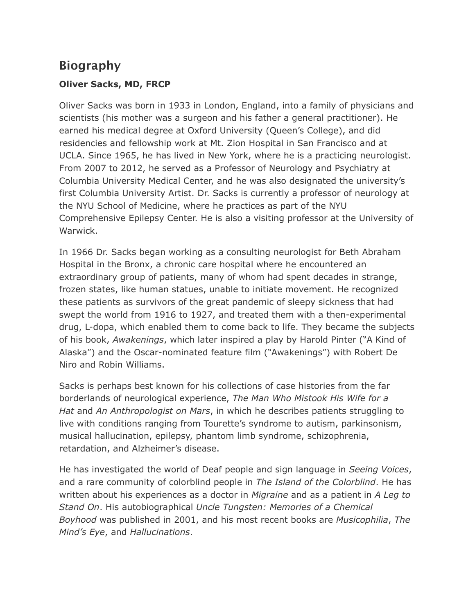## **Biography**

## **Oliver Sacks, MD, FRCP**

Oliver Sacks was born in 1933 in London, England, into a family of physicians and scientists (his mother was a surgeon and his father a general practitioner). He earned his medical degree at Oxford University (Queen's College), and did residencies and fellowship work at Mt. Zion Hospital in San Francisco and at UCLA. Since 1965, he has lived in New York, where he is a practicing neurologist. From 2007 to 2012, he served as a Professor of Neurology and Psychiatry at Columbia University Medical Center, and he was also designated the university's first Columbia University Artist. Dr. Sacks is currently a professor of neurology at the NYU School of Medicine, where he practices as part of the NYU Comprehensive Epilepsy Center. He is also a visiting professor at the University of Warwick.

In 1966 Dr. Sacks began working as a consulting neurologist for Beth Abraham Hospital in the Bronx, a chronic care hospital where he encountered an extraordinary group of patients, many of whom had spent decades in strange, frozen states, like human statues, unable to initiate movement. He recognized these patients as survivors of the great pandemic of sleepy sickness that had swept the world from 1916 to 1927, and treated them with a then-experimental drug, L-dopa, which enabled them to come back to life. They became the subjects of his book, *Awakenings*, which later inspired a play by Harold Pinter ("A Kind of Alaska") and the Oscar-nominated feature film ("Awakenings") with Robert De Niro and Robin Williams.

Sacks is perhaps best known for his collections of case histories from the far borderlands of neurological experience, *The Man Who Mistook His Wife for a Hat* and *An Anthropologist on Mars*, in which he describes patients struggling to live with conditions ranging from Tourette's syndrome to autism, parkinsonism, musical hallucination, epilepsy, phantom limb syndrome, schizophrenia, retardation, and Alzheimer's disease.

He has investigated the world of Deaf people and sign language in *Seeing Voices*, and a rare community of colorblind people in *The Island of the Colorblind*. He has written about his experiences as a doctor in *Migraine* and as a patient in *A Leg to Stand On*. His autobiographical *Uncle Tungsten: Memories of a Chemical Boyhood* was published in 2001, and his most recent books are *Musicophilia*, *The Mind's Eye*, and *Hallucinations*.